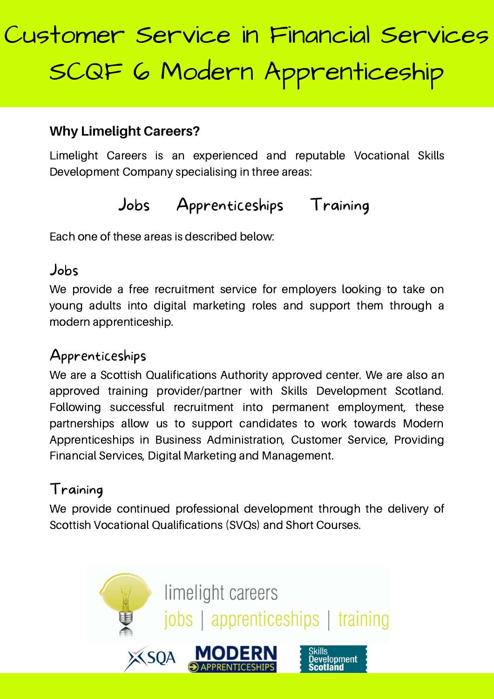#### **Why Limelight Careers?**

Limelight Careers is an experienced and reputable Vocational Skills Development Company specialising in three areas:

## Jobs Apprenticeships Training

Each one of these areas is described below:

#### Jobs

We provide a free recruitment service for employers looking to take on young adults into digital marketing roles and support them through a modern apprenticeship.

### Apprenticeships

We are a Scottish Qualifications Authority approved center. We are also an approved training provider/partner with Skills Development Scotland. Following successful recruitment into permanent employment, these partnerships allow us to support candidates to work towards Modern Apprenticeships in Business Administration, Customer Service, Providing Financial Services, Digital Marketing and Management.

### Training

We provide continued professional development through the delivery of Scottish Vocational Qualifications (SVQs) and Short Courses.

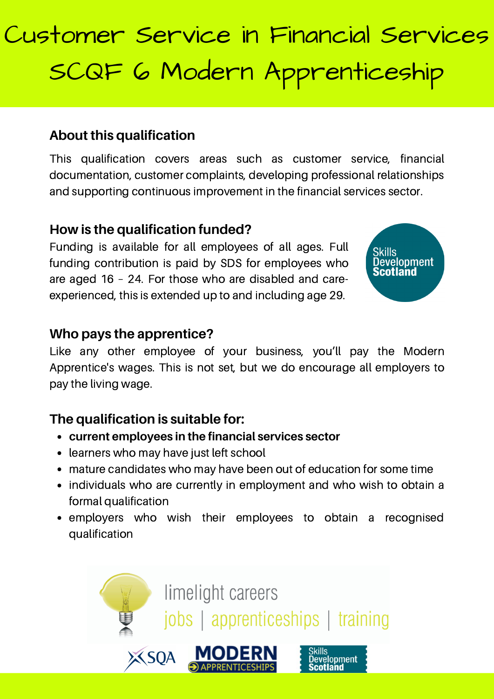#### **About this qualification**

This qualification covers areas such as customer service, financial documentation, customer complaints, developing professional relationships and supporting continuous improvement in the financial services sector.

#### **How is the qualification funded?**

Funding is available for all employees of all ages. Full funding contribution is paid by SDS for employees who are aged 16 – 24. For those who are disabled and careexperienced, this is extended up to and including age 29.



#### **Who pays the apprentice?**

Like any other employee of your business, you'll pay the Modern Apprentice's wages. This is not set, but we do encourage all employers to pay the living wage.

#### **The qualification is suitable for:**

- **current employees in the financial services sector**
- learners who may have just left school
- mature candidates who may have been out of education for some time
- individuals who are currently in employment and who wish to obtain a formal qualification
- employers who wish their employees to obtain a recognised qualification

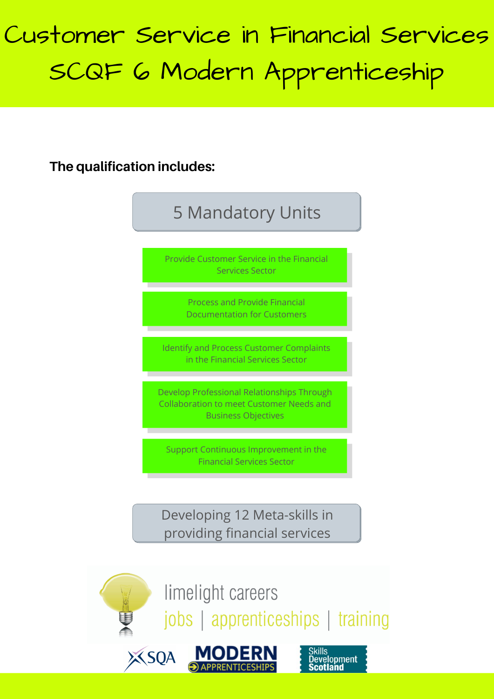**The qualification includes:**



jobs | apprenticeships | training

**Development** 

**Scotland**